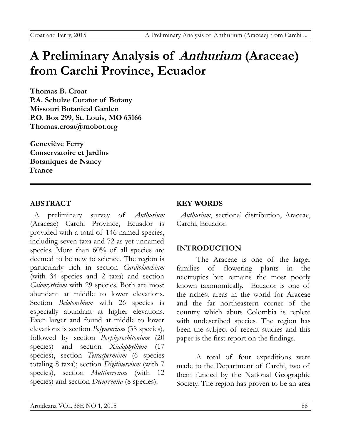# **A Preliminary Analysis of Anthurium (Araceae) from Carchi Province, Ecuador**

**Thomas B. Croat P.A. Schulze Curator of Botany Missouri Botanical Garden P.O. Box 299, St. Louis, MO 63166 Thomas.croat@mobot.org**

**Geneviève Ferry Conservatoire et Jardins Botaniques de Nancy France**

# **ABSTRACT**

A preliminary survey of *Anthurium* (Araceae) Carchi Province, Ecuador is provided with a total of 146 named species, including seven taxa and 72 as yet unnamed species. More than 60% of all species are deemed to be new to science. The region is particularly rich in section *Cardiolonchium* (with 34 species and 2 taxa) and section *Calomystrium* with 29 species. Both are most abundant at middle to lower elevations. Section *Belolonchium* with 26 species is especially abundant at higher elevations. Even larger and found at middle to lower elevations is section *Polyneurium* (38 species), followed by section *Porphyrochitonium* (20 species) and section *Xialophyllium* (17 species), section *Tetraspermium* (6 species totaling 8 taxa); section *Digitinervium* (with 7 species), section *Multinervium* (with 12 species) and section *Decurrentia* (8 species).

# **KEY WORDS**

*Anthurium*, sectional distribution, Araceae, Carchi, Ecuador.

# **INTRODUCTION**

The Araceae is one of the larger families of flowering plants in the neotropics but remains the most poorly known taxonomically. Ecuador is one of the richest areas in the world for Araceae and the far northeastern corner of the country which abuts Colombia is replete with undescribed species. The region has been the subject of recent studies and this paper is the first report on the findings.

A total of four expeditions were made to the Department of Carchi, two of them funded by the National Geographic Society. The region has proven to be an area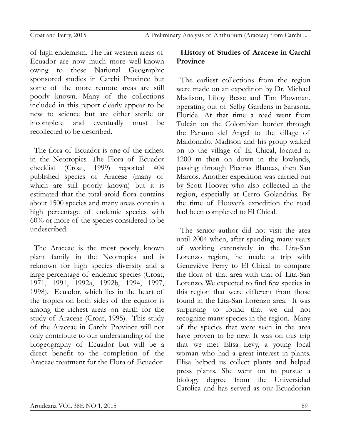of high endemism. The far western areas of Ecuador are now much more well-known owing to these National Geographic sponsored studies in Carchi Province but some of the more remote areas are still poorly known. Many of the collections included in this report clearly appear to be new to science but are either sterile or incomplete and eventually must be recollected to be described.

The flora of Ecuador is one of the richest in the Neotropics. The Flora of Ecuador checklist (Croat, 1999) reported 404 published species of Araceae (many of which are still poorly known) but it is estimated that the total aroid flora contains about 1500 species and many areas contain a high percentage of endemic species with 60% or more of the species considered to be undescribed.

The Araceae is the most poorly known plant family in the Neotropics and is reknown for high species diversity and a large percentage of endemic species (Croat, 1971, 1991, 1992a, 1992b, 1994, 1997, 1998). Ecuador, which lies in the heart of the tropics on both sides of the equator is among the richest areas on earth for the study of Araceae (Croat, 1995). This study of the Araceae in Carchi Province will not only contribute to our understanding of the biogeography of Ecuador but will be a direct benefit to the completion of the Araceae treatment for the Flora of Ecuador.

# **History of Studies of Araceae in Carchi Province**

The earliest collections from the region were made on an expedition by Dr. Michael Madison, Libby Besse and Tim Plowman, operating out of Selby Gardens in Sarasota, Florida. At that time a road went from Tulcán on the Colombian border through the Paramo del Angel to the village of Maldonado. Madison and his group walked on to the village of El Chical, located at 1200 m then on down in the lowlands, passing through Piedras Blancas, then San Marcos. Another expedition was carried out by Scott Hoover who also collected in the region, especially at Cerro Golandrias. By the time of Hoover's expedition the road had been completed to El Chical.

The senior author did not visit the area until 2004 when, after spending many years of working extensively in the Lita-San Lorenzo region, he made a trip with Geneviève Ferry to El Chical to compare the flora of that area with that of Lita-San Lorenzo. We expected to find few species in this region that were different from those found in the Lita-San Lorenzo area. It was surprising to found that we did not recognize many species in the region. Many of the species that were seen in the area have proven to be new. It was on this trip that we met Elisa Levy, a young local woman who had a great interest in plants. Elisa helped us collect plants and helped press plants. She went on to pursue a biology degree from the Universidad Catolica and has served as our Ecuadorian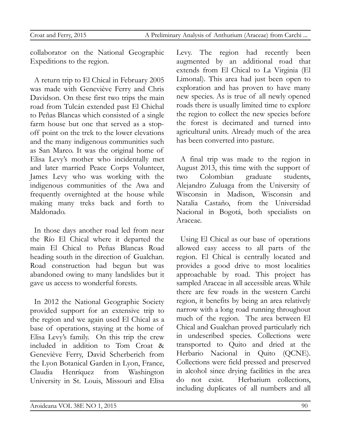collaborator on the National Geographic Expeditions to the region.

A return trip to El Chical in February 2005 was made with Geneviève Ferry and Chris Davidson. On these first two trips the main road from Tulcán extended past El Chichal to Peñas Blancas which consisted of a single farm house but one that served as a stopoff point on the trek to the lower elevations and the many indigenous communities such as San Marco. It was the original home of Elisa Levy's mother who incidentally met and later married Peace Corps Volunteer, James Levy who was working with the indigenous communities of the Awa and frequently overnighted at the house while making many treks back and forth to Maldonado.

In those days another road led from near the Río El Chical where it departed the main El Chical to Peñas Blancas Road heading south in the direction of Gualchan. Road construction had begun but was abandoned owing to many landslides but it gave us access to wonderful forests.

In 2012 the National Geographic Society provided support for an extensive trip to the region and we again used El Chical as a base of operations, staying at the home of Elisa Levy's family. On this trip the crew included in addition to Tom Croat & Geneviève Ferry, David Scherberich from the Lyon Botanical Garden in Lyon, France, Claudia Henríquez from Washington University in St. Louis, Missouri and Elisa Levy. The region had recently been augmented by an additional road that extends from El Chical to La Virginia (El Limonal). This area had just been open to exploration and has proven to have many new species. As is true of all newly opened roads there is usually limited time to explore the region to collect the new species before the forest is decimated and turned into agricultural units. Already much of the area has been converted into pasture.

A final trip was made to the region in August 2013, this time with the support of two Colombian graduate students, Alejandro Zuluaga from the University of Wisconsin in Madison, Wisconsin and Natalia Castaño, from the Universidad Nacional in Bogotá, both specialists on Araceae.

Using El Chical as our base of operations allowed easy access to all parts of the region. El Chical is centrally located and provides a good drive to most localities approachable by road. This project has sampled Araceae in all accessible areas. While there are few roads in the western Carchi region, it benefits by being an area relatively narrow with a long road running throughout much of the region. The area between El Chical and Gualchan proved particularly rich in undescribed species. Collections were transported to Quito and dried at the Herbario Nacional in Quito (QCNE). Collections were field pressed and preserved in alcohol since drying facilities in the area do not exist. Herbarium collections, including duplicates of all numbers and all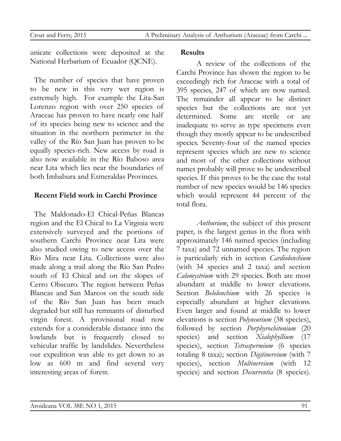unicate collections were deposited at the National Herbarium of Ecuador (QCNE).

The number of species that have proven to be new in this very wet region is extremely high. For example the Lita-San Lorenzo region with over 250 species of Araceae has proven to have nearly one half of its species being new to science and the situation in the northern perimeter in the valley of the Río San Juan has proven to be equally species-rich. New access by road is also now available in the Río Baboso area near Lita which lies near the boundaries of both Imbabura and Esmeraldas Provinces.

# **Recent Field work in Carchi Province**

The Maldonado-El Chical-Peñas Blancas region and the El Chical to La Virginia were extensively surveyed and the portions of southern Carchi Province near Lita were also studied owing to new access over the Río Mira near Lita. Collections were also made along a trail along the Río San Pedro south of El Chical and on the slopes of Cerro Obscuro. The region between Peñas Blancas and San Marcos on the south side of the Río San Juan has been much degraded but still has remnants of disturbed virgin forest. A provisional road now extends for a considerable distance into the lowlands but is frequently closed to vehicular traffic by landslides. Nevertheless our expedition was able to get down to as low as 600 m and find several very interesting areas of forest.

#### **Results**

A review of the collections of the Carchi Province has shown the region to be exceedingly rich for Araceae with a total of 395 species, 247 of which are now named. The remainder all appear to be distinct species but the collections are not yet determined. Some are sterile or are inadequate to serve as type specimens even though they mostly appear to be undescribed species. Seventy-four of the named species represent species which are new to science and most of the other collections without names probably will prove to be undescribed species. If this proves to be the case the total number of new species would be 146 species which would represent 44 percent of the total flora.

*Anthurium*, the subject of this present paper, is the largest genus in the flora with approximately 146 named species (including 7 taxa) and 72 unnamed species. The region is particularly rich in section *Cardiolonchium* (with 34 species and 2 taxa) and section *Calomystrium* with 29 species. Both are most abundant at middle to lower elevations. Section *Belolonchium* with 26 species is especially abundant at higher elevations. Even larger and found at middle to lower elevations is section *Polyneurium* (38 species), followed by section *Porphyrochitonium* (20 species) and section *Xialophyllium* (17 species), section *Tetraspermium* (6 species totaling 8 taxa); section *Digitinervium* (with 7 species), section *Multinervium* (with 12 species) and section *Decurrentia* (8 species).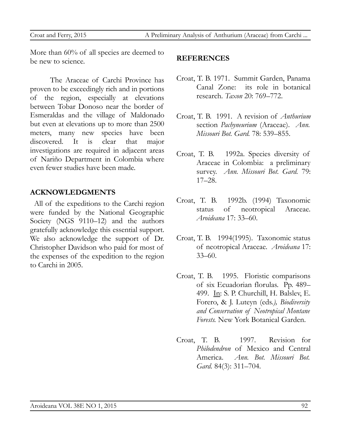More than 60% of all species are deemed to be new to science.

The Araceae of Carchi Province has proven to be exceedingly rich and in portions of the region, especially at elevations between Tobar Donoso near the border of Esmeraldas and the village of Maldonado but even at elevations up to more than 2500 meters, many new species have been discovered. It is clear that major investigations are required in adjacent areas of Nariño Department in Colombia where even fewer studies have been made.

# **ACKNOWLEDGMENTS**

All of the expeditions to the Carchi region were funded by the National Geographic Society (NGS 9110–12) and the authors gratefully acknowledge this essential support. We also acknowledge the support of Dr. Christopher Davidson who paid for most of the expenses of the expedition to the region to Carchi in 2005.

#### **REFERENCES**

- Croat, T. B. 1971. Summit Garden, Panama Canal Zone: its role in botanical research. *Taxon* 20: 769–772.
- Croat, T. B. 1991. A revision of *Anthurium* section *Pachyneurium* (Araceae). *Ann. Missouri Bot. Gard.* 78: 539–855.
- Croat, T. B. 1992a. Species diversity of Araceae in Colombia: a preliminary survey. *Ann. Missouri Bot. Gard.* 79: 17–28.
- Croat, T. B. 1992b. (1994) Taxonomic status of neotropical Araceae. *Aroideana* 17: 33–60.
- Croat, T. B. 1994(1995). Taxonomic status of neotropical Araceae. *Aroideana* 17: 33–60.
- Croat, T. B. 1995. Floristic comparisons of six Ecuadorian florulas. Pp. 489– 499. In: S. P. Churchill, H. Balslev, E. Forero, & J. Luteyn (eds*.), Biodiversity and Conservation of Neotropical Montane Forests.* New York Botanical Garden.
- Croat, T. B. 1997. Revision for *Philodendron* of Mexico and Central America. *Ann. Bot. Missouri Bot. Gard.* 84(3): 311–704.